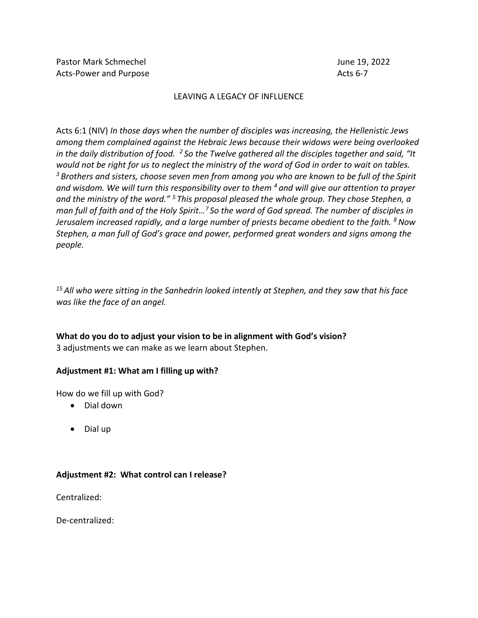# LEAVING A LEGACY OF INFLUENCE

Acts 6:1 (NIV) *In those days when the number of disciples was increasing, the Hellenistic Jews among them complained against the Hebraic Jews because their widows were being overlooked in the daily distribution of food. <sup>2</sup> So the Twelve gathered all the disciples together and said, "It would not be right for us to neglect the ministry of the word of God in order to wait on tables. <sup>3</sup> Brothers and sisters, choose seven men from among you who are known to be full of the Spirit and wisdom. We will turn this responsibility over to them <sup>4</sup> and will give our attention to prayer and the ministry of the word." <sup>5</sup> This proposal pleased the whole group. They chose Stephen, a man full of faith and of the Holy Spirit…<sup>7</sup> So the word of God spread. The number of disciples in Jerusalem increased rapidly, and a large number of priests became obedient to the faith. <sup>8</sup>Now Stephen, a man full of God's grace and power, performed great wonders and signs among the people.*

*<sup>15</sup> All who were sitting in the Sanhedrin looked intently at Stephen, and they saw that his face was like the face of an angel.*

**What do you do to adjust your vision to be in alignment with God's vision?** 3 adjustments we can make as we learn about Stephen.

## **Adjustment #1: What am I filling up with?**

How do we fill up with God?

- Dial down
- Dial up

## **Adjustment #2: What control can I release?**

Centralized:

De-centralized: